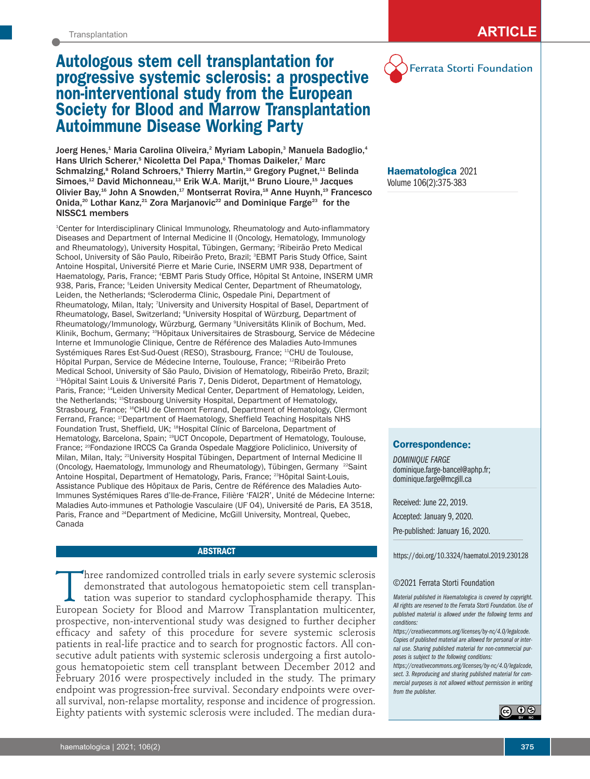# **Autologous stem cell transplantation for progressive systemic sclerosis: a prospective non-interventional study from the European Society for Blood and Marrow Transplantation Autoimmune Disease Working Party**

Joerg Henes,<sup>1</sup> Maria Carolina Oliveira,<sup>2</sup> Myriam Labopin,<sup>3</sup> Manuela Badoglio,<sup>4</sup> Hans Ulrich Scherer,<sup>5</sup> Nicoletta Del Papa,<sup>6</sup> Thomas Daikeler,<sup>7</sup> Marc Schmalzing,<sup>8</sup> Roland Schroers,<sup>9</sup> Thierry Martin,<sup>10</sup> Gregory Pugnet,<sup>11</sup> Belinda Simoes,<sup>12</sup> David Michonneau,<sup>13</sup> Erik W.A. Marijt,<sup>14</sup> Bruno Lioure,<sup>15</sup> Jacques Olivier Bay,<sup>16</sup> John A Snowden,<sup>17</sup> Montserrat Rovira,<sup>18</sup> Anne Huynh,<sup>19</sup> Francesco Onida,<sup>20</sup> Lothar Kanz,<sup>21</sup> Zora Marjanovic<sup>22</sup> and Dominique Farge<sup>23</sup> for the NISSC1 members

1 Center for Interdisciplinary Clinical Immunology, Rheumatology and Auto-inflammatory Diseases and Department of Internal Medicine II (Oncology, Hematology, Immunology and Rheumatology), University Hospital, Tübingen, Germany; <sup>2</sup>Ribeirão Preto Medical School, University of São Paulo, Ribeirão Preto, Brazil; <sup>s</sup>EBMT Paris Study Office, Saint Antoine Hospital, Université Pierre et Marie Curie, INSERM UMR 938, Department of Haematology, Paris, France; 4 EBMT Paris Study Office, Hôpital St Antoine, INSERM UMR 938, Paris, France; <sup>s</sup>Leiden University Medical Center, Department of Rheumatology, Leiden, the Netherlands; °Scleroderma Clinic, Ospedale Pini, Department of Rheumatology, Milan, Italy; 7University and University Hospital of Basel, Department of Rheumatology, Basel, Switzerland; <sup>8</sup>University Hospital of Würzburg, Department of Rheumatology/Immunology, Würzburg, Germany 9 Universitäts Klinik of Bochum, Med. Klinik, Bochum, Germany; <sup>10</sup>Hôpitaux Universitaires de Strasbourg, Service de Médecine Interne et Immunologie Clinique, Centre de Référence des Maladies Auto-Immunes Systémiques Rares Est-Sud-Ouest (RESO), Strasbourg, France; <sup>11</sup>CHU de Toulouse, Hôpital Purpan, Service de Médecine Interne, Toulouse, France; 12Ribeirão Preto Medical School, University of São Paulo, Division of Hematology, Ribeirão Preto, Brazil; <sup>13</sup>Hôpital Saint Louis & Université Paris 7, Denis Diderot, Department of Hematology, Paris, France; <sup>14</sup>Leiden University Medical Center, Department of Hematology, Leiden, the Netherlands; <sup>15</sup>Strasbourg University Hospital, Department of Hematology, Strasbourg, France; 16CHU de Clermont Ferrand, Department of Hematology, Clermont Ferrand, France; <sup>17</sup>Department of Haematology, Sheffield Teaching Hospitals NHS Foundation Trust, Sheffield, UK; <sup>18</sup>Hospital Clínic of Barcelona, Department of Hematology, Barcelona, Spain; 19UCT Oncopole, Department of Hematology, Toulouse, France; 20Fondazione IRCCS Ca Granda Ospedale Maggiore Policlinico, University of Milan, Milan, Italy; 21University Hospital Tübingen, Department of Internal Medicine II (Oncology, Haematology, Immunology and Rheumatology), Tübingen, Germany <sup>22</sup>Saint Antoine Hospital, Department of Hematology, Paris, France; <sup>23</sup>Hôpital Saint-Louis, Assistance Publique des Hôpitaux de Paris, Centre de Référence des Maladies Auto-Immunes Systémiques Rares d'Ile-de-France, Filière 'FAI2R', Unité de Médecine Interne: Maladies Auto-immunes et Pathologie Vasculaire (UF 04), Université de Paris, EA 3518, Paris, France and <sup>24</sup>Department of Medicine, McGill University, Montreal, Quebec, Canada

#### **ABSTRACT**

Three randomized controlled trials in early severe systemic sclerosis<br>demonstrated that autologous hematopoietic stem cell transplan-<br>tation was superior to standard cyclophosphamide therapy. This<br>European Society for Bloo demonstrated that autologous hematopoietic stem cell transplantation was superior to standard cyclophosphamide therapy. This European Society for Blood and Marrow Transplantation multicenter, prospective, non-interventional study was designed to further decipher efficacy and safety of this procedure for severe systemic sclerosis patients in real-life practice and to search for prognostic factors. All consecutive adult patients with systemic sclerosis undergoing a first autologous hematopoietic stem cell transplant between December 2012 and February 2016 were prospectively included in the study. The primary endpoint was progression-free survival. Secondary endpoints were overall survival, non-relapse mortality, response and incidence of progression. Eighty patients with systemic sclerosis were included. The median dura-



**Haematologica** 2021 Volume 106(2):375-383

# **Correspondence:**

*DOMINIQUE FARGE*  dominique.farge-bancel@aphp.fr; dominique.farge@mcgill.ca

Received: June 22, 2019. Accepted: January 9, 2020. Pre-published: January 16, 2020.

https://doi.org/10.3324/haematol.2019.230128

#### ©2021 Ferrata Storti Foundation

*Material published in Haematologica is covered by copyright. All rights are reserved to the Ferrata Storti Foundation. Use of published material is allowed under the following terms and conditions:* 

*https://creativecommons.org/licenses/by-nc/4.0/legalcode. Copies of published material are allowed for personal or internal use. Sharing published material for non-commercial purposes is subject to the following conditions:* 

*https://creativecommons.org/licenses/by-nc/4.0/legalcode, sect. 3. Reproducing and sharing published material for commercial purposes is not allowed without permission in writing from the publisher.*

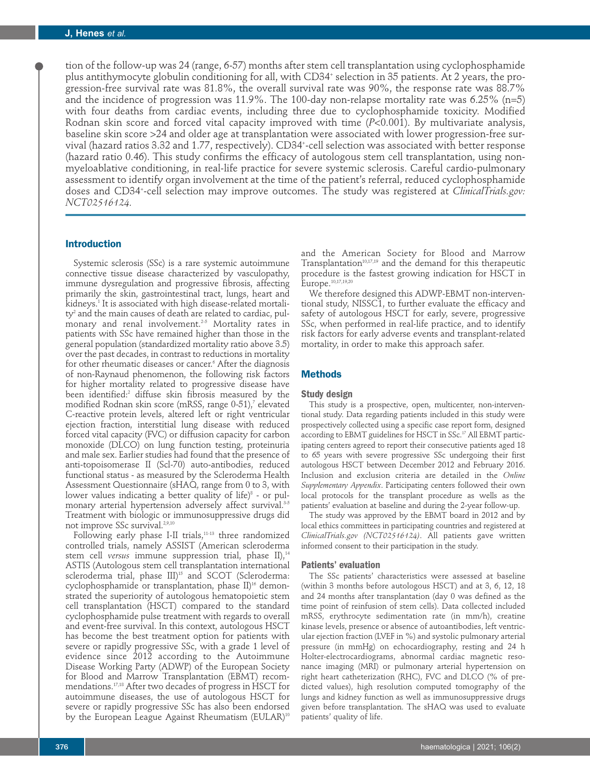tion of the follow-up was 24 (range, 6-57) months after stem cell transplantation using cyclophosphamide plus antithymocyte globulin conditioning for all, with CD34<sup>+</sup> selection in 35 patients. At 2 years, the progression-free survival rate was 81.8%, the overall survival rate was 90%, the response rate was 88.7% and the incidence of progression was 11.9%. The 100-day non-relapse mortality rate was 6.25% (n=5) with four deaths from cardiac events, including three due to cyclophosphamide toxicity. Modified Rodnan skin score and forced vital capacity improved with time (*P*<0.001). By multivariate analysis, baseline skin score >24 and older age at transplantation were associated with lower progression-free survival (hazard ratios 3.32 and 1.77, respectively). CD34+ -cell selection was associated with better response (hazard ratio 0.46). This study confirms the efficacy of autologous stem cell transplantation, using nonmyeloablative conditioning, in real-life practice for severe systemic sclerosis. Careful cardio-pulmonary assessment to identify organ involvement at the time of the patient's referral, reduced cyclophosphamide doses and CD34+ -cell selection may improve outcomes. The study was registered at *ClinicalTrials.gov: NCT02516124.*

# **Introduction**

Systemic sclerosis (SSc) is a rare systemic autoimmune connective tissue disease characterized by vasculopathy, immune dysregulation and progressive fibrosis, affecting primarily the skin, gastrointestinal tract, lungs, heart and kidneys.<sup>1</sup> It is associated with high disease-related mortality<sup>2</sup> and the main causes of death are related to cardiac, pulmonary and renal involvement.<sup>2-5</sup> Mortality rates in patients with SSc have remained higher than those in the general population (standardized mortality ratio above 3.5) over the past decades, in contrast to reductions in mortality for other rheumatic diseases or cancer.<sup>6</sup> After the diagnosis of non-Raynaud phenomenon, the following risk factors for higher mortality related to progressive disease have been identified:<sup>2</sup> diffuse skin fibrosis measured by the modified Rodnan skin score (mRSS, range 0-51),<sup>7</sup> elevated C-reactive protein levels, altered left or right ventricular ejection fraction, interstitial lung disease with reduced forced vital capacity (FVC) or diffusion capacity for carbon monoxide (DLCO) on lung function testing, proteinuria and male sex. Earlier studies had found that the presence of anti-topoisomerase II (Scl-70) auto-antibodies, reduced functional status - as measured by the Scleroderma Health Assessment Questionnaire (sHAQ, range from 0 to 3, with lower values indicating a better quality of life) $8$  - or pulmonary arterial hypertension adversely affect survival.<sup>3-5</sup> Treatment with biologic or immunosuppressive drugs did not improve SSc survival.<sup>2,9,10</sup>

Following early phase I-II trials,<sup>11-13</sup> three randomized controlled trials, namely ASSIST (American scleroderma stem cell *versus* immune suppression trial, phase II),<sup>14</sup> ASTIS (Autologous stem cell transplantation international scleroderma trial, phase III)<sup>15</sup> and SCOT (Scleroderma: cyclophosphamide or transplantation, phase  $II$ <sup>16</sup> demonstrated the superiority of autologous hematopoietic stem cell transplantation (HSCT) compared to the standard cyclophosphamide pulse treatment with regards to overall and event-free survival. In this context, autologous HSCT has become the best treatment option for patients with severe or rapidly progressive SSc, with a grade 1 level of evidence since 2012 according to the Autoimmune Disease Working Party (ADWP) of the European Society for Blood and Marrow Transplantation (EBMT) recommendations.17,18 After two decades of progress in HSCT for autoimmune diseases, the use of autologous HSCT for severe or rapidly progressive SSc has also been endorsed by the European League Against Rheumatism (EULAR)<sup>10</sup>

and the American Society for Blood and Marrow Transplantation $10,17,19$  and the demand for this therapeutic procedure is the fastest growing indication for HSCT in Europe.10,17,19,20

We therefore designed this ADWP-EBMT non-interventional study, NISSC1, to further evaluate the efficacy and safety of autologous HSCT for early, severe, progressive SSc, when performed in real-life practice, and to identify risk factors for early adverse events and transplant-related mortality, in order to make this approach safer.

# **Methods**

## **Study design**

This study is a prospective, open, multicenter, non-interventional study. Data regarding patients included in this study were prospectively collected using a specific case report form, designed according to EBMT guidelines for HSCT in SSc.<sup>17</sup> All EBMT participating centers agreed to report their consecutive patients aged 18 to 65 years with severe progressive SSc undergoing their first autologous HSCT between December 2012 and February 2016. Inclusion and exclusion criteria are detailed in the *Online Supplementary Appendix*. Participating centers followed their own local protocols for the transplant procedure as wells as the patients' evaluation at baseline and during the 2-year follow-up.

The study was approved by the EBMT board in 2012 and by local ethics committees in participating countries and registered at *ClinicalTrials.gov (NCT02516124)*. All patients gave written informed consent to their participation in the study.

## **Patients' evaluation**

The SSc patients' characteristics were assessed at baseline (within 3 months before autologous HSCT) and at 3, 6, 12, 18 and 24 months after transplantation (day 0 was defined as the time point of reinfusion of stem cells). Data collected included mRSS, erythrocyte sedimentation rate (in mm/h), creatine kinase levels, presence or absence of autoantibodies, left ventricular ejection fraction (LVEF in %) and systolic pulmonary arterial pressure (in mmHg) on echocardiography, resting and 24 h Holter-electrocardiograms, abnormal cardiac magnetic resonance imaging (MRI) or pulmonary arterial hypertension on right heart catheterization (RHC), FVC and DLCO (% of predicted values), high resolution computed tomography of the lungs and kidney function as well as immunosuppressive drugs given before transplantation. The sHAQ was used to evaluate patients' quality of life.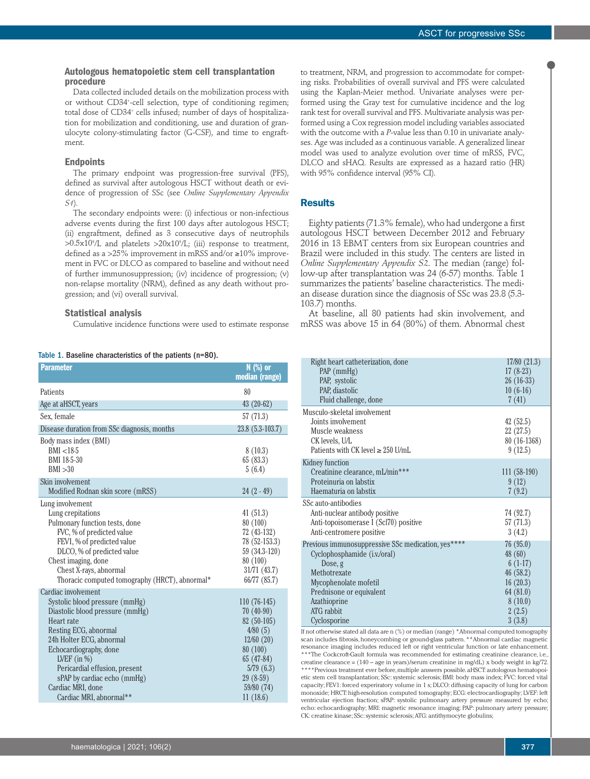# **Autologous hematopoietic stem cell transplantation procedure**

Data collected included details on the mobilization process with or without CD34+ -cell selection, type of conditioning regimen; total dose of CD34<sup>+</sup> cells infused; number of days of hospitalization for mobilization and conditioning, use and duration of granulocyte colony-stimulating factor (G-CSF), and time to engraftment.

## **Endpoints**

The primary endpoint was progression-free survival (PFS), defined as survival after autologous HSCT without death or evidence of progression of SSc (see *Online Supplementary Appendix S1*).

The secondary endpoints were: (i) infectious or non-infectious adverse events during the first 100 days after autologous HSCT; (ii) engraftment, defined as 3 consecutive days of neutrophils >0.5x109 /L and platelets >20x109 /L; (iii) response to treatment, defined as a >25% improvement in mRSS and/or ≥10% improvement in FVC or DLCO as compared to baseline and without need of further immunosuppression; (iv) incidence of progression; (v) non-relapse mortality (NRM), defined as any death without progression; and (vi) overall survival.

## **Statistical analysis**

Cumulative incidence functions were used to estimate response

| Table 1. Baseline characteristics of the patients (n=80). |  |  |  |
|-----------------------------------------------------------|--|--|--|
|-----------------------------------------------------------|--|--|--|

| <b>Parameter</b>                                                                                                                                                                                                                                                    | N (%) or<br>median (range)                                                                                        |
|---------------------------------------------------------------------------------------------------------------------------------------------------------------------------------------------------------------------------------------------------------------------|-------------------------------------------------------------------------------------------------------------------|
| Patients                                                                                                                                                                                                                                                            | 80                                                                                                                |
| Age at aHSCT, years                                                                                                                                                                                                                                                 | $43(20-62)$                                                                                                       |
| Sex, female                                                                                                                                                                                                                                                         | 57 (71.3)                                                                                                         |
| Disease duration from SSc diagnosis, months                                                                                                                                                                                                                         | 23.8 (5.3-103.7)                                                                                                  |
| Body mass index (BMI)<br>BMI < 18.5<br>BMI 18-5-30<br>BMI > 30                                                                                                                                                                                                      | 8(10.3)<br>65(83.3)<br>5(6.4)                                                                                     |
| Skin involvement<br>Modified Rodnan skin score (mRSS)                                                                                                                                                                                                               | $24(2-49)$                                                                                                        |
| Lung involvement<br>Lung crepitations<br>Pulmonary function tests, done<br>FVC, % of predicted value<br>FEV1, % of predicted value<br>DLCO, % of predicted value<br>Chest imaging, done<br>Chest X-rays, abnormal<br>Thoracic computed tomography (HRCT), abnormal* | 41(51.3)<br>80 (100)<br>72 (43-132)<br>78 (52-153.3)<br>59 (34.3-120)<br>80 (100)<br>31/71 (43.7)<br>66/77 (85.7) |
| Cardiac involvement                                                                                                                                                                                                                                                 |                                                                                                                   |
| Systolic blood pressure (mmHg)<br>Diastolic blood pressure (mmHg)<br>Heart rate<br>Resting ECG, abnormal                                                                                                                                                            | $110(76-145)$<br>$70(40-90)$<br>82 (50-105)<br>4/80(5)                                                            |
| 24h Holter ECG, abnormal                                                                                                                                                                                                                                            | 12/60(20)                                                                                                         |
| Echocardiography, done                                                                                                                                                                                                                                              | 80 (100)                                                                                                          |
| LVEF $(in %)$                                                                                                                                                                                                                                                       | 65 (47-84)                                                                                                        |
| Pericardial effusion, present                                                                                                                                                                                                                                       | 5/79(6.3)                                                                                                         |
| sPAP by cardiac echo (mmHg)                                                                                                                                                                                                                                         | $29(8-59)$                                                                                                        |
| Cardiac MRI, done                                                                                                                                                                                                                                                   | 59/80 (74)                                                                                                        |
| Cardiac MRI, abnormal**                                                                                                                                                                                                                                             | 11(18.6)                                                                                                          |

to treatment, NRM, and progression to accommodate for competing risks. Probabilities of overall survival and PFS were calculated using the Kaplan-Meier method. Univariate analyses were performed using the Gray test for cumulative incidence and the log rank test for overall survival and PFS. Multivariate analysis was performed using a Cox regression model including variables associated with the outcome with a *P*-value less than 0.10 in univariate analyses. Age was included as a continuous variable. A generalized linear model was used to analyze evolution over time of mRSS, FVC, DLCO and sHAQ. Results are expressed as a hazard ratio (HR) with 95% confidence interval (95% CI).

# **Results**

Eighty patients (71.3% female), who had undergone a first autologous HSCT between December 2012 and February 2016 in 13 EBMT centers from six European countries and Brazil were included in this study. The centers are listed in *Online Supplementary Appendix S2*. The median (range) follow-up after transplantation was 24 (6-57) months. Table 1 summarizes the patients' baseline characteristics. The median disease duration since the diagnosis of SSc was 23.8 (5.3- 103.7) months.

At baseline, all 80 patients had skin involvement, and mRSS was above 15 in 64 (80%) of them. Abnormal chest

| Right heart catheterization, done                  | 17/80 (21.3)  |
|----------------------------------------------------|---------------|
| $PAP$ (mmHg)                                       | $17(8-23)$    |
| PAP, systolic                                      | $26(16-33)$   |
| PAP, diastolic                                     | $10(6-16)$    |
| Fluid challenge, done                              | 7(41)         |
| Musculo-skeletal involvement                       |               |
| Joints involvement                                 | 42(52.5)      |
| Muscle weakness                                    | 22(27.5)      |
| CK levels, U/L                                     | 80 (16-1368)  |
| Patients with CK level $\geq 250$ U/mL             | 9(12.5)       |
| Kidney function                                    |               |
| Creatinine clearance, mL/min***                    | $111(58-190)$ |
| Proteinuria on labstix                             | 9(12)         |
| Haematuria on labstix                              | 7(9.2)        |
| SSc auto-antibodies                                |               |
|                                                    | 74 (92.7)     |
| Anti-nuclear antibody positive                     |               |
| Anti-topoisomerase I (Scl70) positive              | 57(71.3)      |
| Anti-centromere positive                           | 3(4.2)        |
| Previous immunosuppressive SSc medication, yes**** | 76(95.0)      |
| Cyclophosphamide (i.v./oral)                       | 48 (60)       |
| Dose, g                                            | $6(1-17)$     |
| Methotrexate                                       | 46(58.2)      |
| Mycophenolate mofetil                              | 16(20.3)      |
| Prednisone or equivalent                           | 64(81.0)      |
| Azathioprine                                       | 8(10.0)       |
| <b>ATG</b> rabbit                                  | 2(2.5)        |
| Cyclosporine                                       | 3(3.8)        |

If not otherwise stated all data are n (%) or median (range) \*Abnormal computed tomography scan includes fibrosis, honeycombing or ground-glass pattern. \*\*Abnormal cardiac magnetic resonance imaging includes reduced left or right ventricular function or late enhancement. \*\*\*The Cockcroft-Gault formula was recommended for estimating creatinine clearance, i.e. creatine clearance =  $(140 - \text{age in years})/\text{serum creation in mg/dL}$  x body weight in kg/72. \*\*\*\*Previous treatment ever before, multiple answers possible. aHSCT: autologous hematopoietic stem cell transplantation; SSc: systemic sclerosis; BMI: body mass index; FVC: forced vital capacity; FEV1: forced experiratory volume in 1 s; DLCO: diffusing capacity of lung for carbon monoxide; HRCT: high-resolution computed tomography; ECG: electrocardiography; LVEF: left ventricular ejection fraction; sPAP: systolic pulmonary artery pressure measured by echo; echo: echocardiography; MRI: magnetic resonance imaging; PAP: pulmonary artery pressure; CK: creatine kinase; SSc: systemic sclerosis; ATG: antithymocyte globulins;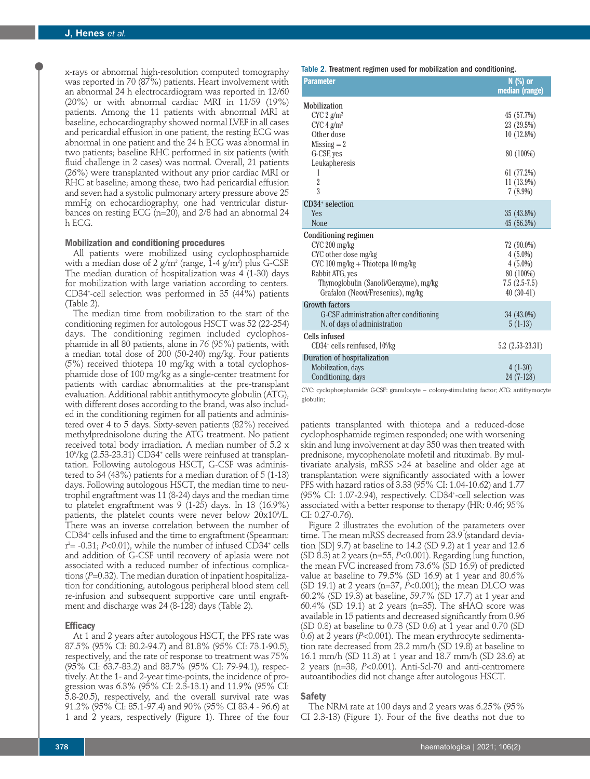x-rays or abnormal high-resolution computed tomography was reported in 70 (87%) patients. Heart involvement with an abnormal 24 h electrocardiogram was reported in 12/60 (20%) or with abnormal cardiac MRI in 11/59 (19%) patients. Among the 11 patients with abnormal MRI at baseline, echocardiography showed normal LVEF in all cases and pericardial effusion in one patient, the resting ECG was abnormal in one patient and the 24 h ECG was abnormal in two patients; baseline RHC performed in six patients (with fluid challenge in 2 cases) was normal. Overall, 21 patients (26%) were transplanted without any prior cardiac MRI or RHC at baseline; among these, two had pericardial effusion and seven had a systolic pulmonary artery pressure above 25 mmHg on echocardiography, one had ventricular disturbances on resting ECG (n=20), and 2/8 had an abnormal 24 h ECG.

## **Mobilization and conditioning procedures**

All patients were mobilized using cyclophosphamide with a median dose of 2 g/m $^{\rm 2}$  (range, 1-4 g/m $^{\rm 2}$  plus G-CSF. The median duration of hospitalization was 4 (1-30) days for mobilization with large variation according to centers. CD34+ -cell selection was performed in 35 (44%) patients (Table 2).

The median time from mobilization to the start of the conditioning regimen for autologous HSCT was 52 (22-254) days. The conditioning regimen included cyclophosphamide in all 80 patients, alone in 76 (95%) patients, with a median total dose of 200 (50-240) mg/kg. Four patients (5%) received thiotepa 10 mg/kg with a total cyclophosphamide dose of 100 mg/kg as a single-center treatment for patients with cardiac abnormalities at the pre-transplant evaluation. Additional rabbit antithymocyte globulin (ATG), with different doses according to the brand, was also included in the conditioning regimen for all patients and administered over 4 to 5 days. Sixty-seven patients (82%) received methylprednisolone during the ATG treatment. No patient received total body irradiation. A median number of 5.2 x 106 /kg (2.53-23.31) CD34+ cells were reinfused at transplantation. Following autologous HSCT, G-CSF was administered to 34 (43%) patients for a median duration of 5 (1-13) days. Following autologous HSCT, the median time to neutrophil engraftment was 11 (8-24) days and the median time to platelet engraftment was 9 (1-25) days. In 13 (16.9%) patients, the platelet counts were never below  $20\mathrm{x}10^{\circ}/\mathrm{L}$ . There was an inverse correlation between the number of CD34+ cells infused and the time to engraftment (Spearman: r 2 = -0.31; *P*<0.01), while the number of infused CD34+ cells and addition of G-CSF until recovery of aplasia were not associated with a reduced number of infectious complications (*P*=0.32). The median duration of inpatient hospitalization for conditioning, autologous peripheral blood stem cell re-infusion and subsequent supportive care until engraftment and discharge was 24 (8-128) days (Table 2).

#### **Efficacy**

At 1 and 2 years after autologous HSCT, the PFS rate was 87.5% (95% CI: 80.2-94.7) and 81.8% (95% CI: 73.1-90.5), respectively, and the rate of response to treatment was 75% (95% CI: 63.7-83.2) and 88.7% (95% CI: 79-94.1), respectively. At the 1- and 2-year time-points, the incidence of progression was 6.3% (95% CI: 2.3-13.1) and 11.9% (95% CI: 5.8-20.5), respectively, and the overall survival rate was 91.2% (95% CI: 85.1-97.4) and 90% (95% CI 83.4 - 96.6) at 1 and 2 years, respectively (Figure 1). Three of the four

| <b>Parameter</b>                                                                                                                                                                                    | N (%) or<br>median (range)                                                                        |
|-----------------------------------------------------------------------------------------------------------------------------------------------------------------------------------------------------|---------------------------------------------------------------------------------------------------|
| Mobilization<br>CYC 2 g/m <sup>2</sup><br>CYC 4 g/m <sup>2</sup><br>Other dose<br>$Missing = 2$<br>G-CSF, yes<br>Leukapheresis<br>1<br>$\overline{2}$<br>3                                          | 45 (57.7%)<br>23 (29.5%)<br>$10(12.8\%)$<br>80 (100%)<br>61 (77.2%)<br>$11(13.9\%)$<br>$7(8.9\%)$ |
| $CD34+$ selection<br>Yes<br><b>None</b>                                                                                                                                                             | 35 (43.8%)<br>45(56.3%)                                                                           |
| Conditioning regimen<br>CYC 200 mg/kg<br>CYC other dose mg/kg<br>CYC 100 mg/kg + Thiotepa 10 mg/kg<br>Rabbit ATG, yes<br>Thymoglobulin (Sanofi/Genzyme), mg/kg<br>Grafalon (Neovi/Fresenius), mg/kg | 72 (90.0%)<br>$4(5.0\%)$<br>$4(5.0\%)$<br>80 (100%)<br>$7.5(2.5-7.5)$<br>$40(30-41)$              |
| Growth factors<br>G-CSF administration after conditioning<br>N. of days of administration                                                                                                           | 34 (43.0%)<br>$5(1-13)$                                                                           |
| Cells infused<br>CD34 <sup>+</sup> cells reinfused, 10 <sup>6</sup> /kg                                                                                                                             | $5.2(2.53-23.31)$                                                                                 |
| Duration of hospitalization<br>Mobilization, days<br>Conditioning, days                                                                                                                             | $4(1-30)$<br>24 (7-128)                                                                           |

CYC: cyclophosphamide; G-CSF: granulocyte – colony-stimulating factor; ATG: antithymocyte globulin;

patients transplanted with thiotepa and a reduced-dose cyclophosphamide regimen responded; one with worsening skin and lung involvement at day 350 was then treated with prednisone, mycophenolate mofetil and rituximab. By multivariate analysis, mRSS >24 at baseline and older age at transplantation were significantly associated with a lower PFS with hazard ratios of 3.33 (95% CI: 1.04-10.62) and 1.77 (95% CI: 1.07-2.94), respectively. CD34+ -cell selection was associated with a better response to therapy (HR: 0.46; 95% CI: 0.27-0.76).

Figure 2 illustrates the evolution of the parameters over time. The mean mRSS decreased from 23.9 (standard deviation [SD] 9.7) at baseline to 14.2 (SD 9.2) at 1 year and 12.6 (SD 8.3) at 2 years (n=55, *P*<0.001). Regarding lung function, the mean FVC increased from 73.6% (SD 16.9) of predicted value at baseline to 79.5% (SD 16.9) at 1 year and 80.6% (SD 19.1) at 2 years (n=37, *P*<0.001); the mean DLCO was 60.2% (SD 19.3) at baseline, 59.7% (SD 17.7) at 1 year and 60.4% (SD 19.1) at 2 years (n=35). The sHAQ score was available in 15 patients and decreased significantly from 0.96 (SD 0.8) at baseline to 0.73 (SD 0.6) at 1 year and 0.70 (SD 0.6) at 2 years (*P*<0.001). The mean erythrocyte sedimentation rate decreased from 23.2 mm/h (SD 19.8) at baseline to 16.1 mm/h (SD 11.3) at 1 year and 18.7 mm/h (SD 23.6) at 2 years (n=38, *P*<0.001). Anti-Scl-70 and anti-centromere autoantibodies did not change after autologous HSCT.

#### **Safety**

The NRM rate at 100 days and 2 years was 6.25% (95% CI 2.3-13) (Figure 1). Four of the five deaths not due to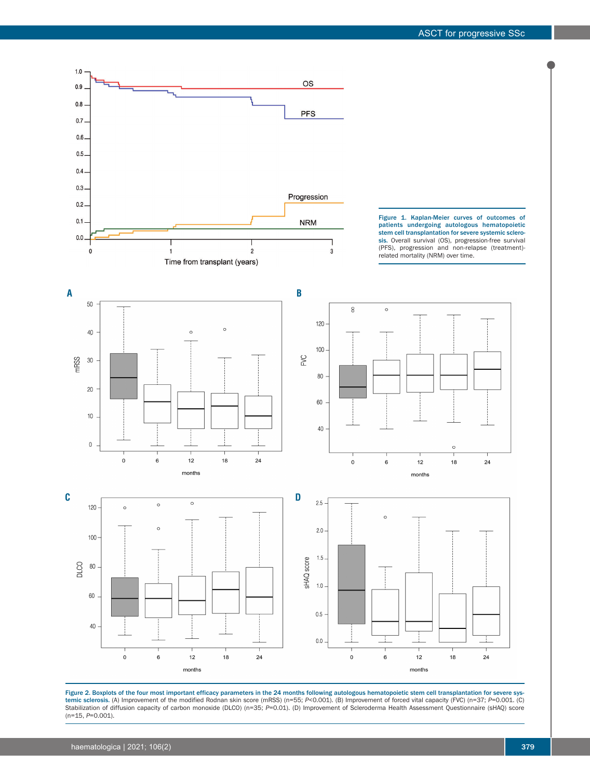

Figure 2. Boxplots of the four most important efficacy parameters in the 24 months following autologous hematopoietic stem cell transplantation for severe systemic sclerosis. (A) Improvement of the modified Rodnan skin score (mRSS) (n=55; *P*<0.001). (B) Improvement of forced vital capacity (FVC) (n=37; *P*=0.001. (C) Stabilization of diffusion capacity of carbon monoxide (DLCO) (n=35; *P*=0.01). (D) Improvement of Scleroderma Health Assessment Questionnaire (sHAQ) score (n=15, *P*=0.001).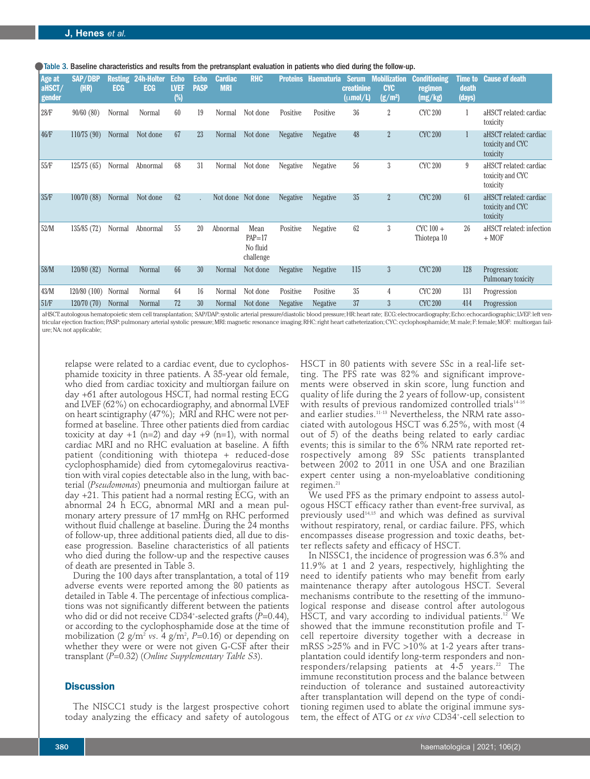Table 3. Baseline characteristics and results from the pretransplant evaluation in patients who died during the follow-up.

| <b>Age at</b><br>aHSCT/<br>gender | <b>SAP/DBP</b><br>(HR) | <b>ECG</b> | <b>Resting 24h-Holter</b><br><b>ECG</b> | <b>Echo</b><br><b>LVEF</b><br>$(\%)$ | <b>Echo</b><br><b>PASP</b> | <b>Cardiac</b><br><b>MRI</b> | <b>RHC</b>                                  | <b>Proteins</b> | <b>Haematuria</b> | creatinine<br>$(\mu \text{mol}/L)$ | <b>Serum</b> Mobilization<br><b>CYC</b><br>(g/m <sup>2</sup> ) | <b>Conditioning</b><br>regimen<br>(mg/kg) | <b>Time to</b><br>death<br>(days) | <b>Cause of death</b>                                  |
|-----------------------------------|------------------------|------------|-----------------------------------------|--------------------------------------|----------------------------|------------------------------|---------------------------------------------|-----------------|-------------------|------------------------------------|----------------------------------------------------------------|-------------------------------------------|-----------------------------------|--------------------------------------------------------|
| 28/F                              | 90/60(80)              | Normal     | Normal                                  | 60                                   | 19                         | Normal                       | Not done                                    | Positive        | Positive          | 36                                 | $\overline{2}$                                                 | <b>CYC 200</b>                            |                                   | aHSCT related: cardiac<br>toxicity                     |
| 46/F                              | 110/75(90)             | Normal     | Not done                                | 67                                   | 23                         | Normal                       | Not done                                    | <b>Negative</b> | <b>Negative</b>   | 48                                 | $\overline{2}$                                                 | <b>CYC 200</b>                            |                                   | aHSCT related: cardiac<br>toxicity and CYC<br>toxicity |
| 55/F                              | 125/75(65)             | Normal     | Abnormal                                | 68                                   | 31                         | Normal                       | Not done                                    | Negative        | <b>Negative</b>   | 56                                 | 3                                                              | <b>CYC 200</b>                            | 9                                 | aHSCT related: cardiac<br>toxicity and CYC<br>toxicity |
| 35/F                              | 100/70(88)             | Normal     | Not done                                | 62                                   |                            |                              | Not done Not done                           | <b>Negative</b> | <b>Negative</b>   | 35                                 | $\overline{2}$                                                 | <b>CYC 200</b>                            | 61                                | aHSCT related: cardiac<br>toxicity and CYC<br>toxicity |
| 52/M                              | 135/85 (72)            | Normal     | Abnormal                                | 55                                   | 20                         | Abnormal                     | Mean<br>$PAP = 17$<br>No fluid<br>challenge | Positive        | Negative          | 62                                 | 3                                                              | $CYC100 +$<br>Thiotepa 10                 | 26                                | aHSCT related: infection<br>$+ MOF$                    |
| 58/M                              | 120/80(82)             | Normal     | Normal                                  | 66                                   | 30                         | Normal                       | Not done                                    | <b>Negative</b> | <b>Negative</b>   | 115                                | 3                                                              | <b>CYC 200</b>                            | 128                               | Progression:<br>Pulmonary toxicity                     |
| 43/M                              | 120/80 (100)           | Normal     | Normal                                  | 64                                   | 16                         | Normal                       | Not done                                    | Positive        | Positive          | 35                                 | 4                                                              | <b>CYC 200</b>                            | 131                               | Progression                                            |
| 51/F                              | 120/70(70)             | Normal     | Normal                                  | 72                                   | 30                         | Normal                       | Not done                                    | <b>Negative</b> | <b>Negative</b>   | 37                                 | 3                                                              | <b>CYC 200</b>                            | 414                               | Progression                                            |

aHSCT: autologous hematopoietic stem cell transplantation; SAP/DAP: systolic arterial pressure/diastolic blood pressure; HR: heart rate; ECG: electrocardiography; Echo: echocardiographic; LVEF: left ventricular ejection fraction; PASP: pulmonary arterial systolic pressure; MRI: magnetic resonance imaging; RHC: right heart catheterization; CYC: cyclophosphamide; M: male; F: female; MOF: multiorgan failure; NA: not applicable;

relapse were related to a cardiac event, due to cyclophosphamide toxicity in three patients. A 35-year old female, who died from cardiac toxicity and multiorgan failure on day +61 after autologous HSCT, had normal resting ECG and LVEF (62%) on echocardiography, and abnormal LVEF on heart scintigraphy (47%); MRI and RHC were not performed at baseline. Three other patients died from cardiac toxicity at day  $+1$  (n=2) and day  $+9$  (n=1), with normal cardiac MRI and no RHC evaluation at baseline. A fifth patient (conditioning with thiotepa + reduced-dose cyclophosphamide) died from cytomegalovirus reactivation with viral copies detectable also in the lung, with bacterial (*Pseudomonas*) pneumonia and multiorgan failure at day +21. This patient had a normal resting ECG, with an abnormal 24 h ECG, abnormal MRI and a mean pulmonary artery pressure of 17 mmHg on RHC performed without fluid challenge at baseline. During the 24 months of follow-up, three additional patients died, all due to disease progression. Baseline characteristics of all patients who died during the follow-up and the respective causes of death are presented in Table 3.

During the 100 days after transplantation, a total of 119 adverse events were reported among the 80 patients as detailed in Table 4. The percentage of infectious complications was not significantly different between the patients who did or did not receive CD34+ -selected grafts (*P*=0.44), or according to the cyclophosphamide dose at the time of mobilization (2 g/m2 *vs*. 4 g/m2 , *P*=0.16) or depending on whether they were or were not given G-CSF after their transplant (*P*=0.32) (*Online Supplementary Table S3*).

# **Discussion**

The NISCC1 study is the largest prospective cohort today analyzing the efficacy and safety of autologous

HSCT in 80 patients with severe SSc in a real-life setting. The PFS rate was 82% and significant improvements were observed in skin score, lung function and quality of life during the 2 years of follow-up, consistent with results of previous randomized controlled trials<sup>14-16</sup> and earlier studies.11-13 Nevertheless, the NRM rate associated with autologous HSCT was  $6.25\%$ , with most (4 out of 5) of the deaths being related to early cardiac events; this is similar to the 6% NRM rate reported retrospectively among 89 SSc patients transplanted between 2002 to 2011 in one USA and one Brazilian expert center using a non-myeloablative conditioning regimen. $^{21}$ 

We used PFS as the primary endpoint to assess autologous HSCT efficacy rather than event-free survival, as previously used14,15 and which was defined as survival without respiratory, renal, or cardiac failure. PFS, which encompasses disease progression and toxic deaths, better reflects safety and efficacy of HSCT.

In NISSC1, the incidence of progression was 6.3% and 11.9% at 1 and 2 years, respectively, highlighting the need to identify patients who may benefit from early maintenance therapy after autologous HSCT. Several mechanisms contribute to the resetting of the immunological response and disease control after autologous HSCT, and vary according to individual patients.<sup>12</sup> We showed that the immune reconstitution profile and Tcell repertoire diversity together with a decrease in mRSS >25% and in FVC >10% at 1-2 years after transplantation could identify long-term responders and nonresponders/relapsing patients at  $4-5$  years.<sup>22</sup> The immune reconstitution process and the balance between reinduction of tolerance and sustained autoreactivity after transplantation will depend on the type of conditioning regimen used to ablate the original immune system, the effect of ATG or *ex vivo* CD34+ -cell selection to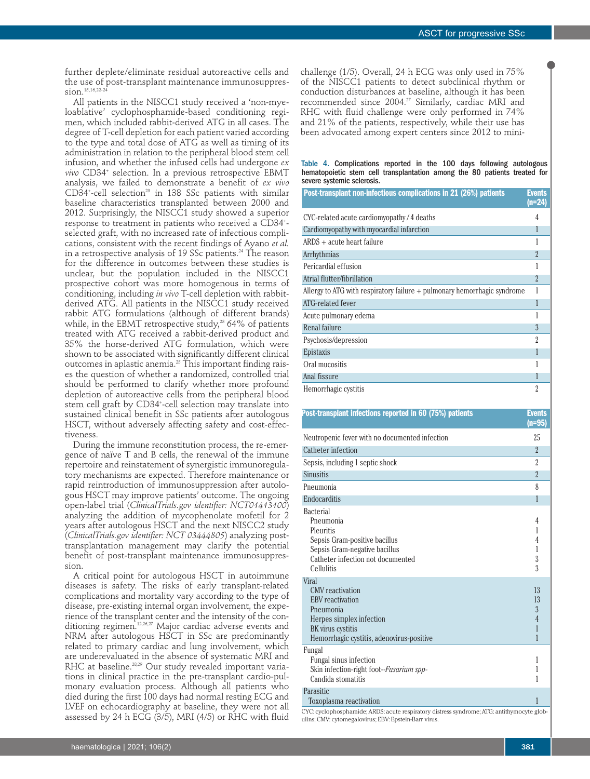further deplete/eliminate residual autoreactive cells and the use of post-transplant maintenance immunosuppression.<sup>15,16,22-24</sup>

All patients in the NISCC1 study received a 'non-myeloablative' cyclophosphamide-based conditioning regimen, which included rabbit-derived ATG in all cases. The degree of T-cell depletion for each patient varied according to the type and total dose of ATG as well as timing of its administration in relation to the peripheral blood stem cell infusion, and whether the infused cells had undergone *ex vivo* CD34+ selection. In a previous retrospective EBMT analysis, we failed to demonstrate a benefit of *ex vivo*  $CD34^{\circ}$ -cell selection $^{23}$  in 138 SSc patients with similar baseline characteristics transplanted between 2000 and 2012. Surprisingly, the NISCC1 study showed a superior response to treatment in patients who received a CD34+ selected graft, with no increased rate of infectious complications, consistent with the recent findings of Ayano *et al.* in a retrospective analysis of 19 SSc patients.<sup>24</sup> The reason for the difference in outcomes between these studies is unclear, but the population included in the NISCC1 prospective cohort was more homogenous in terms of conditioning, including *in vivo* T-cell depletion with rabbitderived ATG. All patients in the NISCC1 study received rabbit ATG formulations (although of different brands) while, in the EBMT retrospective study, $2364\%$  of patients treated with ATG received a rabbit-derived product and 35% the horse-derived ATG formulation, which were shown to be associated with significantly different clinical outcomes in aplastic anemia.<sup>25</sup> This important finding raises the question of whether a randomized, controlled trial should be performed to clarify whether more profound depletion of autoreactive cells from the peripheral blood stem cell graft by CD34+ -cell selection may translate into sustained clinical benefit in SSc patients after autologous HSCT, without adversely affecting safety and cost-effectiveness.

During the immune reconstitution process, the re-emergence of naïve T and B cells, the renewal of the immune repertoire and reinstatement of synergistic immunoregulatory mechanisms are expected. Therefore maintenance or rapid reintroduction of immunosuppression after autologous HSCT may improve patients' outcome. The ongoing open-label trial (*ClinicalTrials.gov identifier: NCT01413100*) analyzing the addition of mycophenolate mofetil for 2 years after autologous HSCT and the next NISCC2 study (*ClinicalTrials.gov identifier: NCT 03444805*) analyzing posttransplantation management may clarify the potential benefit of post-transplant maintenance immunosuppression.

A critical point for autologous HSCT in autoimmune diseases is safety. The risks of early transplant-related complications and mortality vary according to the type of disease, pre-existing internal organ involvement, the experience of the transplant center and the intensity of the conditioning regimen.12,26,27 Major cardiac adverse events and NRM after autologous HSCT in SSc are predominantly related to primary cardiac and lung involvement, which are underevaluated in the absence of systematic MRI and RHC at baseline.<sup>28,29</sup> Our study revealed important variations in clinical practice in the pre-transplant cardio-pulmonary evaluation process. Although all patients who died during the first 100 days had normal resting ECG and LVEF on echocardiography at baseline, they were not all assessed by 24 h ECG (3/5), MRI (4/5) or RHC with fluid challenge (1/5). Overall, 24 h ECG was only used in 75% of the NISCC1 patients to detect subclinical rhythm or conduction disturbances at baseline, although it has been recommended since 2004.<sup>27</sup> Similarly, cardiac MRI and RHC with fluid challenge were only performed in 74% and 21% of the patients, respectively, while their use has been advocated among expert centers since 2012 to mini-

#### Table 4. Complications reported in the 100 days following autologous hematopoietic stem cell transplantation among the 80 patients treated for severe systemic sclerosis.

| Post-transplant non-infectious complications in 21 (26%) patients          | <b>Events</b><br>$(n=24)$ |
|----------------------------------------------------------------------------|---------------------------|
| CYC-related acute cardiomyopathy/4 deaths                                  | 4                         |
| Cardiomyopathy with myocardial infarction                                  |                           |
| $ARDS + acute$ heart failure                                               |                           |
| Arrhythmias                                                                | $\mathfrak{D}$            |
| Pericardial effusion                                                       |                           |
| Atrial flutter/fibrillation                                                | $\overline{\mathfrak{2}}$ |
| Allergy to ATG with respiratory failure $+$ pulmonary hemorrhagic syndrome |                           |
| ATG-related fever                                                          |                           |
| Acute pulmonary edema                                                      |                           |
| Renal failure                                                              | 3                         |
| Psychosis/depression                                                       | $\mathfrak{p}$            |
| Epistaxis                                                                  |                           |
| Oral mucositis                                                             |                           |
| Anal fissure                                                               |                           |
| Hemorrhagic cystitis                                                       | 2                         |

| Post-transplant infections reported in 60 (75%) patients                                                                                                        | <b>Events</b><br>(n=95)    |
|-----------------------------------------------------------------------------------------------------------------------------------------------------------------|----------------------------|
| Neutropenic fever with no documented infection                                                                                                                  | 25                         |
| Catheter infection                                                                                                                                              | $\overline{2}$             |
| Sepsis, including 1 septic shock                                                                                                                                | $\overline{\mathcal{L}}$   |
| Sinusitis                                                                                                                                                       | $\overline{2}$             |
| Pneumonia                                                                                                                                                       | 8                          |
| Endocarditis                                                                                                                                                    | 1                          |
| <b>Bacterial</b><br>Pneumonia<br>Pleuritis<br>Sepsis Gram-positive bacillus<br>Sepsis Gram-negative bacillus<br>Catheter infection not documented<br>Cellulitis | 4<br>1<br>4<br>1<br>3<br>3 |
| Viral                                                                                                                                                           |                            |
| CMV reactivation                                                                                                                                                | 13                         |
| <b>EBV</b> reactivation                                                                                                                                         | 13<br>3                    |
| Pneumonia<br>Herpes simplex infection                                                                                                                           | $\overline{4}$             |
| BK virus cystitis                                                                                                                                               |                            |
| Hemorrhagic cystitis, adenovirus-positive                                                                                                                       | 1                          |
| Fungal<br>Fungal sinus infection<br>Skin infection-right foot--Fusarium spp-<br>Candida stomatitis                                                              | 1<br>1<br>1                |
| Parasitic<br>Toxoplasma reactivation                                                                                                                            | 1                          |
| CYC: cyclophosphamide; ARDS: acute respiratory distress syndrome; ATG: antithymocyte glob-                                                                      |                            |
| ulins; CMV: cytomegalovirus; EBV: Epstein-Barr virus.                                                                                                           |                            |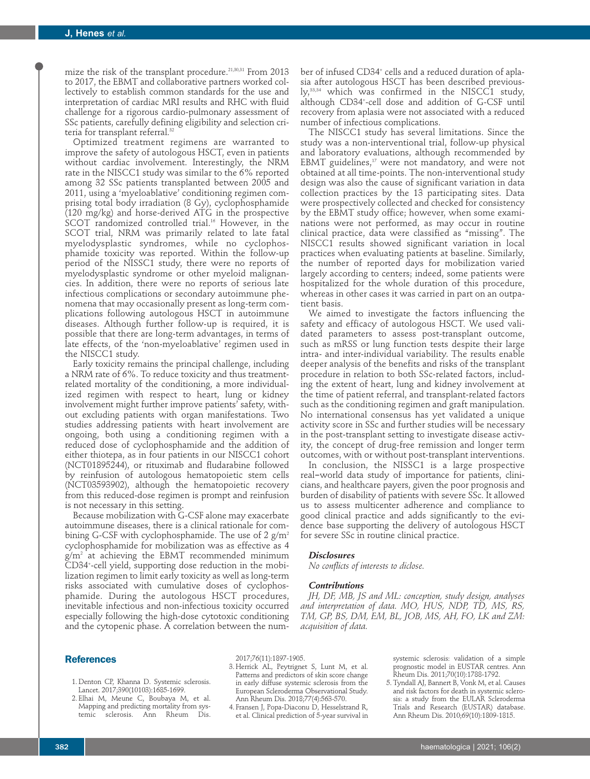mize the risk of the transplant procedure.<sup>21,30,31</sup> From 2013 to 2017, the EBMT and collaborative partners worked collectively to establish common standards for the use and interpretation of cardiac MRI results and RHC with fluid challenge for a rigorous cardio-pulmonary assessment of SSc patients, carefully defining eligibility and selection criteria for transplant referral.<sup>32</sup>

Optimized treatment regimens are warranted to improve the safety of autologous HSCT, even in patients without cardiac involvement. Interestingly, the NRM rate in the NISCC1 study was similar to the 6% reported among 32 SSc patients transplanted between 2005 and 2011, using a 'myeloablative' conditioning regimen comprising total body irradiation (8 Gy), cyclophosphamide (120 mg/kg) and horse-derived ATG in the prospective SCOT randomized controlled trial.<sup>16</sup> However, in the SCOT trial, NRM was primarily related to late fatal myelodysplastic syndromes, while no cyclophosphamide toxicity was reported. Within the follow-up period of the NISSC1 study, there were no reports of myelodysplastic syndrome or other myeloid malignancies. In addition, there were no reports of serious late infectious complications or secondary autoimmune phenomena that may occasionally present as long-term complications following autologous HSCT in autoimmune diseases. Although further follow-up is required, it is possible that there are long-term advantages, in terms of late effects, of the 'non-myeloablative' regimen used in the NISCC1 study.

Early toxicity remains the principal challenge, including a NRM rate of 6%. To reduce toxicity and thus treatmentrelated mortality of the conditioning, a more individualized regimen with respect to heart, lung or kidney involvement might further improve patients' safety, without excluding patients with organ manifestations. Two studies addressing patients with heart involvement are ongoing, both using a conditioning regimen with a reduced dose of cyclophosphamide and the addition of either thiotepa, as in four patients in our NISCC1 cohort (NCT01895244), or rituximab and fludarabine followed by reinfusion of autologous hematopoietic stem cells (NCT03593902), although the hematopoietic recovery from this reduced-dose regimen is prompt and reinfusion is not necessary in this setting.

Because mobilization with G-CSF alone may exacerbate autoimmune diseases, there is a clinical rationale for combining G-CSF with cyclophosphamide. The use of 2  $g/m^2$ cyclophosphamide for mobilization was as effective as 4 g/m2 at achieving the EBMT recommended minimum CD34+ -cell yield, supporting dose reduction in the mobilization regimen to limit early toxicity as well as long-term risks associated with cumulative doses of cyclophosphamide. During the autologous HSCT procedures, inevitable infectious and non-infectious toxicity occurred especially following the high-dose cytotoxic conditioning and the cytopenic phase. A correlation between the number of infused CD34<sup>+</sup> cells and a reduced duration of aplasia after autologous HSCT has been described previously,<sup>33,34</sup> which was confirmed in the NISCC1 study, although CD34+ -cell dose and addition of G-CSF until recovery from aplasia were not associated with a reduced number of infectious complications.

The NISCC1 study has several limitations. Since the study was a non-interventional trial, follow-up physical and laboratory evaluations, although recommended by EBMT guidelines,<sup>17</sup> were not mandatory, and were not obtained at all time-points. The non-interventional study design was also the cause of significant variation in data collection practices by the 13 participating sites. Data were prospectively collected and checked for consistency by the EBMT study office; however, when some examinations were not performed, as may occur in routine clinical practice, data were classified as "missing". The NISCC1 results showed significant variation in local practices when evaluating patients at baseline. Similarly, the number of reported days for mobilization varied largely according to centers; indeed, some patients were hospitalized for the whole duration of this procedure, whereas in other cases it was carried in part on an outpatient basis.

We aimed to investigate the factors influencing the safety and efficacy of autologous HSCT. We used validated parameters to assess post-transplant outcome, such as mRSS or lung function tests despite their large intra- and inter-individual variability. The results enable deeper analysis of the benefits and risks of the transplant procedure in relation to both SSc-related factors, including the extent of heart, lung and kidney involvement at the time of patient referral, and transplant-related factors such as the conditioning regimen and graft manipulation. No international consensus has yet validated a unique activity score in SSc and further studies will be necessary in the post-transplant setting to investigate disease activity, the concept of drug-free remission and longer term outcomes, with or without post-transplant interventions.

In conclusion, the NISSC1 is a large prospective real‐world data study of importance for patients, clinicians, and healthcare payers, given the poor prognosis and burden of disability of patients with severe SSc. It allowed us to assess multicenter adherence and compliance to good clinical practice and adds significantly to the evidence base supporting the delivery of autologous HSCT for severe SSc in routine clinical practice.

#### *Disclosures*

*No conflicts of interests to diclose.*

#### *Contributions*

*JH, DF, MB, JS and ML: conception, study design, analyses and interpretation of data. MO, HUS, NDP, TD, MS, RS, TM, GP, BS, DM, EM, BL, JOB, MS, AH, FO, LK and ZM: acquisition of data.*

## **References**

- 1. Denton CP, Khanna D. Systemic sclerosis. Lancet. 2017;390(10103):1685-1699.
- 2. Elhai M, Meune C, Boubaya M, et al. Mapping and predicting mortality from systemic sclerosis. Ann Rheum Dis.

2017;76(11):1897-1905.

- 3. Herrick AL, Peytrignet S, Lunt M, et al. Patterns and predictors of skin score change in early diffuse systemic sclerosis from the European Scleroderma Observational Study. Ann Rheum Dis. 2018;77(4):563-570.
- 4. Fransen J, Popa-Diaconu D, Hesselstrand R, et al. Clinical prediction of 5-year survival in

systemic sclerosis: validation of a simple prognostic model in EUSTAR centres. Ann Rheum Dis. 2011;70(10):1788-1792.

 5. Tyndall AJ, Bannert B, Vonk M, et al. Causes and risk factors for death in systemic sclerosis: a study from the EULAR Scleroderma Trials and Research (EUSTAR) database. Ann Rheum Dis. 2010;69(10):1809-1815.